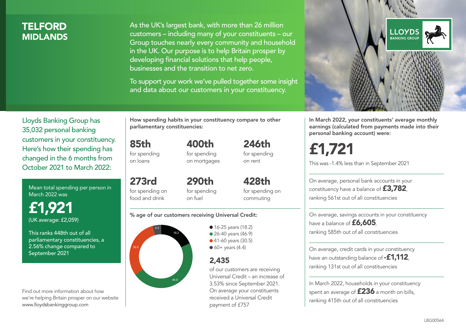# **TELFORD MIDI ANDS**

As the UK's largest bank, with more than 26 million customers – including many of your constituents – our Group touches nearly every community and household in the UK. Our purpose is to help Britain prosper by developing financial solutions that help people, businesses and the transition to net zero.

To support your work we've pulled together some insight and data about our customers in your constituency.



Mean total spending per person in March 2022 was

£1,921 (UK average: £2,059)

This ranks 448th out of all parliamentary constituencies, a 2.56% change compared to September 2021

Find out more information about how we're helping Britain prosper on our website www.lloydsbankinggroup.com

How spending habits in your constituency compare to other parliamentary constituencies:

400th

85th for spending

on loans

for spending on mortgages

273rd for spending on food and drink 290th for spending on fuel

428th for spending on commuting

246th for spending on rent

#### % age of our customers receiving Universal Credit:



• 16-25 years (18.2) • 26-40 years (46.9) ● 41-60 years (30.5)  $60+$  years (4.4)

## 2,435

of our customers are receiving Universal Credit – an increase of 3.53% since September 2021. On average your constituents received a Universal Credit payment of £757



In March 2022, your constituents' average monthly earnings (calculated from payments made into their personal banking account) were:

£1,721

This was -1.4% less than in September 2021

On average, personal bank accounts in your constituency have a balance of £3,782, ranking 561st out of all constituencies

On average, savings accounts in your constituency have a balance of £6,605, ranking 585th out of all constituencies

On average, credit cards in your constituency have an outstanding balance of **-£1,112**, ranking 131st out of all constituencies

In March 2022, households in your constituency spent an average of £236 a month on bills, ranking 415th out of all constituencies

#### LBG00564